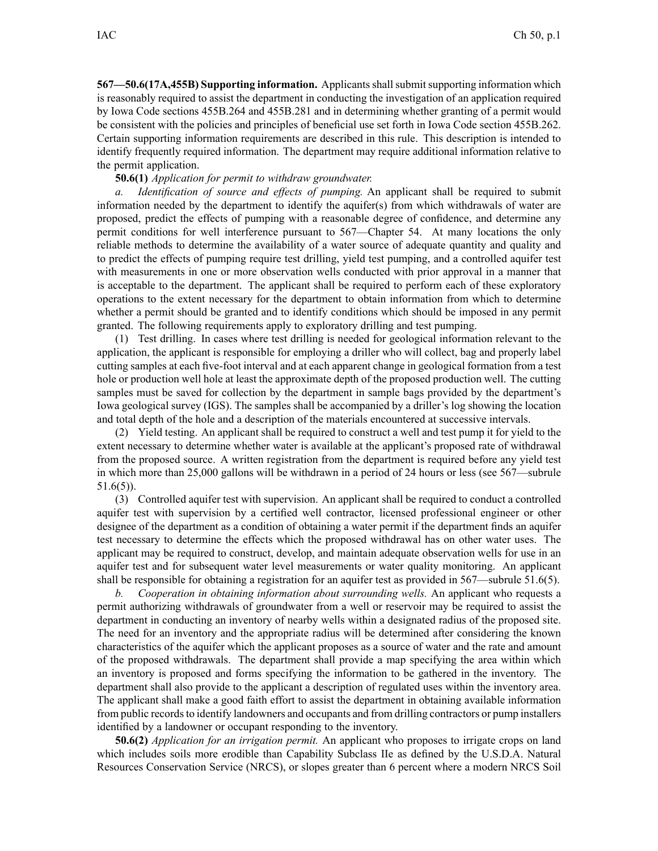**567—50.6(17A,455B) Supporting information.** Applicantsshallsubmitsupporting information which is reasonably required to assist the department in conducting the investigation of an application required by Iowa Code sections 455B.264 and 455B.281 and in determining whether granting of <sup>a</sup> permit would be consistent with the policies and principles of beneficial use set forth in Iowa Code section 455B.262. Certain supporting information requirements are described in this rule. This description is intended to identify frequently required information. The department may require additional information relative to the permit application.

## **50.6(1)** *Application for permit to withdraw groundwater.*

*a. Identification of source and effects of pumping.* An applicant shall be required to submit information needed by the department to identify the aquifer(s) from which withdrawals of water are proposed, predict the effects of pumping with <sup>a</sup> reasonable degree of confidence, and determine any permit conditions for well interference pursuan<sup>t</sup> to 567—Chapter 54. At many locations the only reliable methods to determine the availability of <sup>a</sup> water source of adequate quantity and quality and to predict the effects of pumping require test drilling, yield test pumping, and <sup>a</sup> controlled aquifer test with measurements in one or more observation wells conducted with prior approval in <sup>a</sup> manner that is acceptable to the department. The applicant shall be required to perform each of these exploratory operations to the extent necessary for the department to obtain information from which to determine whether <sup>a</sup> permit should be granted and to identify conditions which should be imposed in any permit granted. The following requirements apply to exploratory drilling and test pumping.

(1) Test drilling. In cases where test drilling is needed for geological information relevant to the application, the applicant is responsible for employing <sup>a</sup> driller who will collect, bag and properly label cutting samples at each five-foot interval and at each apparen<sup>t</sup> change in geological formation from <sup>a</sup> test hole or production well hole at least the approximate depth of the proposed production well. The cutting samples must be saved for collection by the department in sample bags provided by the department's Iowa geological survey (IGS). The samples shall be accompanied by <sup>a</sup> driller's log showing the location and total depth of the hole and <sup>a</sup> description of the materials encountered at successive intervals.

(2) Yield testing. An applicant shall be required to construct <sup>a</sup> well and test pump it for yield to the extent necessary to determine whether water is available at the applicant's proposed rate of withdrawal from the proposed source. A written registration from the department is required before any yield test in which more than 25,000 gallons will be withdrawn in <sup>a</sup> period of 24 hours or less (see 567—subrule 51.6(5)).

(3) Controlled aquifer test with supervision. An applicant shall be required to conduct <sup>a</sup> controlled aquifer test with supervision by <sup>a</sup> certified well contractor, licensed professional engineer or other designee of the department as <sup>a</sup> condition of obtaining <sup>a</sup> water permit if the department finds an aquifer test necessary to determine the effects which the proposed withdrawal has on other water uses. The applicant may be required to construct, develop, and maintain adequate observation wells for use in an aquifer test and for subsequent water level measurements or water quality monitoring. An applicant shall be responsible for obtaining <sup>a</sup> registration for an aquifer test as provided in 567—subrule 51.6(5).

*b. Cooperation in obtaining information about surrounding wells.* An applicant who requests <sup>a</sup> permit authorizing withdrawals of groundwater from <sup>a</sup> well or reservoir may be required to assist the department in conducting an inventory of nearby wells within <sup>a</sup> designated radius of the proposed site. The need for an inventory and the appropriate radius will be determined after considering the known characteristics of the aquifer which the applicant proposes as <sup>a</sup> source of water and the rate and amount of the proposed withdrawals. The department shall provide <sup>a</sup> map specifying the area within which an inventory is proposed and forms specifying the information to be gathered in the inventory. The department shall also provide to the applicant <sup>a</sup> description of regulated uses within the inventory area. The applicant shall make <sup>a</sup> good faith effort to assist the department in obtaining available information from public records to identify landowners and occupants and from drilling contractors or pump installers identified by <sup>a</sup> landowner or occupan<sup>t</sup> responding to the inventory.

**50.6(2)** *Application for an irrigation permit.* An applicant who proposes to irrigate crops on land which includes soils more erodible than Capability Subclass IIe as defined by the U.S.D.A. Natural Resources Conservation Service (NRCS), or slopes greater than 6 percen<sup>t</sup> where <sup>a</sup> modern NRCS Soil